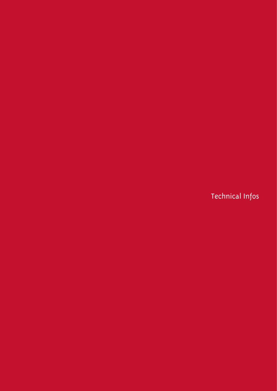Technical Infos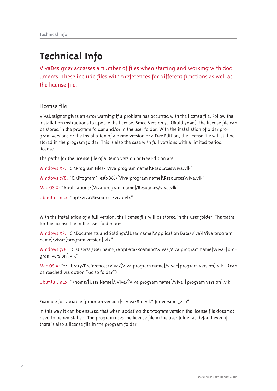# **Technical Info**

VivaDesigner accesses a number of files when starting and working with documents. These include files with preferences for different functions as well as the license file.

License file

VivaDesigner gives an error warning if a problem has occurred with the license file. Follow the installation instructions to update the license. Since Version 7.1 (Build 7090), the license file can be stored in the program folder and/or in the user folder. With the installation of older program versions or the installation of a demo version or a Free Edition, the license file will still be stored in the program folder. This is also the case with full versions with a limited period license.

The paths for the license file of a Demo version or Free Edition are:

Windows XP: "C:\Program Files\[Viva program name]\Resources\viva.vlk"

Windows 7/8: "C:\ProgramFiles(x86)\[Viva program name]\Resources\viva.vlk"

Mac OS X: "Applications/[Viva program name]/Resources/viva.vlk"

Ubuntu Linux: "opt\viva\Resources\viva.vlk"

With the installation of a full version, the license file will be stored in the user folder. The paths for the license file in the user folder are:

Windows XP: "C:\Documents and Settings\[User name]\Application Data\viva\[Viva program name]\viva-[program version].vlk"

Windows 7/8: "C:\Users\[User name]\AppData\Roaming\viva\[Viva program name]\viva-[program version].vlk"

Mac OS X: "~/Library/Preferences/Viva/[Viva program name]/viva-[program version].vlk" (can be reached via option "Go to folder")

Ubuntu Linux: "/home/[User Name]/.Viva/[Viva program name]/viva-[program version].vlk"

Example for variable [program version]: "viva-8.0.vlk" for version "8.0".

In this way it can be ensured that when updating the program version the license file does not need to be reinstalled. The program uses the license file in the user folder as default even if there is also a license file in the program folder.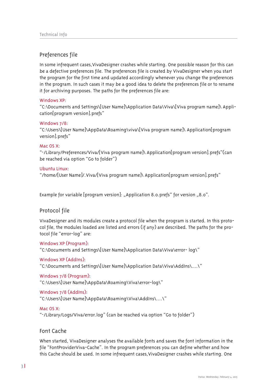# Preferences file

In some infrequent cases, VivaDesigner crashes while starting. One possible reason for this can be a defective preferences file. The preferences file is created by VivaDesigner when you start the program for the first time and updated accordingly whenever you change the preferences in the program. In such cases it may be a good idea to delete the preferences file or to rename it for archiving purposes. The paths for the preferences file are:

#### Windows XP

"C:\Documents and Settings\[User Name]\Application Data\Viva\[Viva program name]\ Application[program version].prefs"

#### Windows 7/8:

"C:\Users\[User Name]\AppData\Roaming\viva\[Viva program name]\ Application[program version].prefs"

#### Mac OS X<sup>-</sup>

"~/Library/Preferences/Viva/[Viva program name]\ Application[program version].prefs"(can be reached via option "Go to folder")

#### Ubuntu Linux:

"/home/[User Name]/. Viva/[Viva program name]\ Application[program version].prefs"

Example for variable [program version]: "Application 8.0.prefs" for version "8.0".

# Protocol file

VivaDesigner and its modules create a protocol file when the program is started. In this protocol file, the modules loaded are listed and errors (if any) are described. The paths for the protocol file "error-log" are:

Windows XP (Program):

"C:\Documents and Settings\[User Name]\Application Data\Viva\error- log\"

#### Windows XP (Addins).

"C:\Documents and Settings\[User Name]\Application Data\Viva\AddIns\....\"

# Windows 7/8 (Program):

"C:\Users\[User Name]\AppData\Roaming\Viva\error-log\"

# Windows 7/8 (Addins):

```
"C:\Users\[User Name]\AppData\Roaming\Viva\AddIns\....\"
```
# Mac OS X:

"~/Library/Logs/Viva/error.log" (can be reached via option "Go to folder")

# Font Cache

When started, VivaDesigner analyses the available fonts and saves the font information in the file "FontProviderViva-Cache". In the program preferences you can define whether and how this Cache should be used. In some infrequent cases, VivaDesigner crashes while starting. One